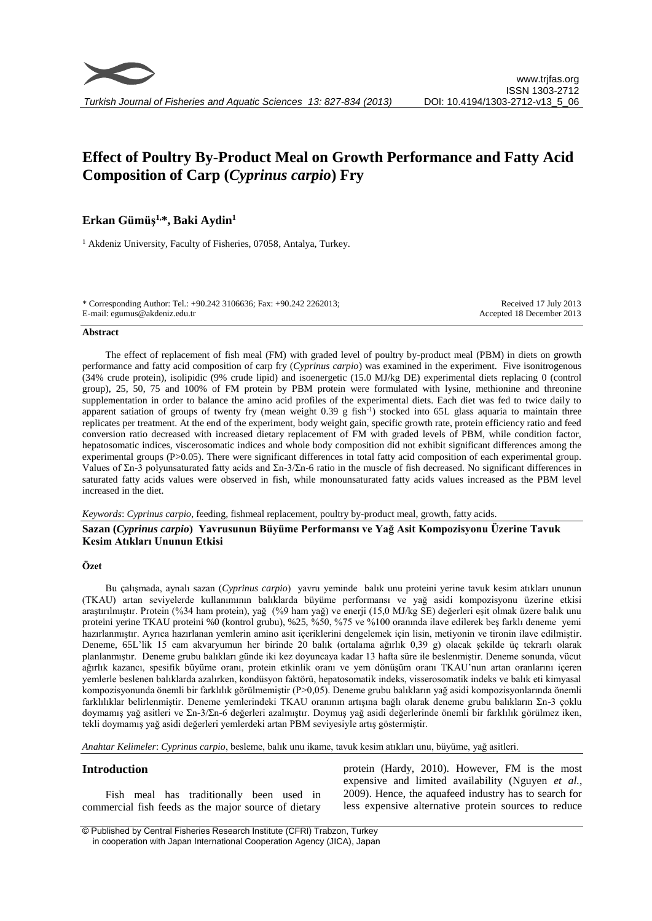# **Effect of Poultry By-Product Meal on Growth Performance and Fatty Acid Composition of Carp (***Cyprinus carpio***) Fry**

# **Erkan Gümüş1,\*, Baki Aydin<sup>1</sup>**

<sup>1</sup> Akdeniz University, Faculty of Fisheries, 07058, Antalya, Turkey.

\* Corresponding Author: Tel.: +90.242 3106636; Fax: +90.242 2262013; E-mail: egumus@akdeniz.edu.tr

Received 17 July 2013 Accepted 18 December 2013

#### **Abstract**

The effect of replacement of fish meal (FM) with graded level of poultry by-product meal (PBM) in diets on growth performance and fatty acid composition of carp fry (*Cyprinus carpio*) was examined in the experiment. Five isonitrogenous (34% crude protein), isolipidic (9% crude lipid) and isoenergetic (15.0 MJ/kg DE) experimental diets replacing 0 (control group), 25, 50, 75 and 100% of FM protein by PBM protein were formulated with lysine, methionine and threonine supplementation in order to balance the amino acid profiles of the experimental diets. Each diet was fed to twice daily to apparent satiation of groups of twenty fry (mean weight 0.39 g fish<sup>-1</sup>) stocked into 65L glass aquaria to maintain three replicates per treatment. At the end of the experiment, body weight gain, specific growth rate, protein efficiency ratio and feed conversion ratio decreased with increased dietary replacement of FM with graded levels of PBM, while condition factor, hepatosomatic indices, viscerosomatic indices and whole body composition did not exhibit significant differences among the experimental groups (P>0.05). There were significant differences in total fatty acid composition of each experimental group. Values of Σn-3 polyunsaturated fatty acids and Σn-3/Σn-6 ratio in the muscle of fish decreased. No significant differences in saturated fatty acids values were observed in fish, while monounsaturated fatty acids values increased as the PBM level increased in the diet.

*Keywords*: *Cyprinus carpio*, feeding, fishmeal replacement, poultry by-product meal, growth, fatty acids.

# **Sazan (***Cyprinus carpio***) Yavrusunun Büyüme Performansı ve Yağ Asit Kompozisyonu Üzerine Tavuk Kesim Atıkları Ununun Etkisi**

# **Özet**

Bu çalışmada, aynalı sazan (*Cyprinus carpio*) yavru yeminde balık unu proteini yerine tavuk kesim atıkları ununun (TKAU) artan seviyelerde kullanımının balıklarda büyüme performansı ve yağ asidi kompozisyonu üzerine etkisi araştırılmıştır. Protein (%34 ham protein), yağ (%9 ham yağ) ve enerji (15,0 MJ/kg SE) değerleri eşit olmak üzere balık unu proteini yerine TKAU proteini %0 (kontrol grubu), %25, %50, %75 ve %100 oranında ilave edilerek beş farklı deneme yemi hazırlanmıştır. Ayrıca hazırlanan yemlerin amino asit içeriklerini dengelemek için lisin, metiyonin ve tironin ilave edilmiştir. Deneme, 65L'lik 15 cam akvaryumun her birinde 20 balık (ortalama ağırlık 0,39 g) olacak şekilde üç tekrarlı olarak planlanmıştır. Deneme grubu balıkları günde iki kez doyuncaya kadar 13 hafta süre ile beslenmiştir. Deneme sonunda, vücut ağırlık kazancı, spesifik büyüme oranı, protein etkinlik oranı ve yem dönüşüm oranı TKAU'nun artan oranlarını içeren yemlerle beslenen balıklarda azalırken, kondüsyon faktörü, hepatosomatik indeks, visserosomatik indeks ve balık eti kimyasal kompozisyonunda önemli bir farklılık görülmemiştir (P>0,05). Deneme grubu balıkların yağ asidi kompozisyonlarında önemli farklılıklar belirlenmiştir. Deneme yemlerindeki TKAU oranının artışına bağlı olarak deneme grubu balıkların Σn-3 çoklu doymamış yağ asitleri ve Σn-3/Σn-6 değerleri azalmıştır. Doymuş yağ asidi değerlerinde önemli bir farklılık görülmez iken, tekli doymamış yağ asidi değerleri yemlerdeki artan PBM seviyesiyle artış göstermiştir.

*Anahtar Kelimeler*: *Cyprinus carpio*, besleme, balık unu ikame, tavuk kesim atıkları unu, büyüme, yağ asitleri.

# **Introduction**

Fish meal has traditionally been used in commercial fish feeds as the major source of dietary protein (Hardy, 2010). However, FM is the most expensive and limited availability (Nguyen *et al.*, 2009). Hence, the aquafeed industry has to search for less expensive alternative protein sources to reduce

<sup>©</sup> Published by Central Fisheries Research Institute (CFRI) Trabzon, Turkey in cooperation with Japan International Cooperation Agency (JICA), Japan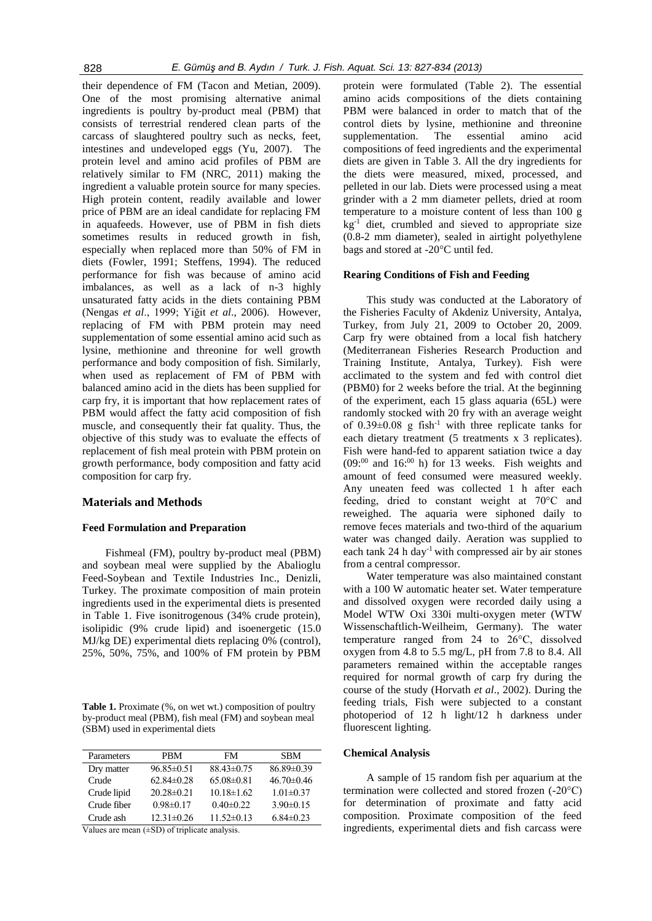their dependence of FM (Tacon and Metian, 2009). One of the most promising alternative animal ingredients is poultry by-product meal (PBM) that consists of terrestrial rendered clean parts of the carcass of slaughtered poultry such as necks, feet, intestines and undeveloped eggs (Yu, 2007). The protein level and amino acid profiles of PBM are relatively similar to FM (NRC, 2011) making the ingredient a valuable protein source for many species. High protein content, readily available and lower price of PBM are an ideal candidate for replacing FM in aquafeeds. However, use of PBM in fish diets sometimes results in reduced growth in fish, especially when replaced more than 50% of FM in diets (Fowler, 1991; Steffens, 1994). The reduced performance for fish was because of amino acid imbalances, as well as a lack of n-3 highly unsaturated fatty acids in the diets containing PBM (Nengas *et al*., 1999; Yiğit *et al*., 2006). However, replacing of FM with PBM protein may need supplementation of some essential amino acid such as lysine, methionine and threonine for well growth performance and body composition of fish. Similarly, when used as replacement of FM of PBM with balanced amino acid in the diets has been supplied for carp fry, it is important that how replacement rates of PBM would affect the fatty acid composition of fish muscle, and consequently their fat quality. Thus, the objective of this study was to evaluate the effects of replacement of fish meal protein with PBM protein on growth performance, body composition and fatty acid composition for carp fry.

#### **Materials and Methods**

#### **Feed Formulation and Preparation**

Fishmeal (FM), poultry by-product meal (PBM) and soybean meal were supplied by the Abalioglu Feed-Soybean and Textile Industries Inc., Denizli, Turkey. The proximate composition of main protein ingredients used in the experimental diets is presented in Table 1. Five isonitrogenous (34% crude protein), isolipidic (9% crude lipid) and isoenergetic (15.0 MJ/kg DE) experimental diets replacing 0% (control), 25%, 50%, 75%, and 100% of FM protein by PBM

**Table 1.** Proximate (%, on wet wt.) composition of poultry by-product meal (PBM), fish meal (FM) and soybean meal (SBM) used in experimental diets

| Parameters  | PRM              | FM               | <b>SBM</b>       |
|-------------|------------------|------------------|------------------|
| Dry matter  | $96.85 \pm 0.51$ | $88.43\pm0.75$   | $86.89 \pm 0.39$ |
| Crude       | $62.84\pm0.28$   | $65.08\pm0.81$   | $46.70 \pm 0.46$ |
| Crude lipid | $20.28 \pm 0.21$ | $10.18 \pm 1.62$ | $1.01 \pm 0.37$  |
| Crude fiber | $0.98 \pm 0.17$  | $0.40 \pm 0.22$  | $3.90\pm0.15$    |
| Crude ash   | $12.31 \pm 0.26$ | $11.52\pm0.13$   | $6.84\pm0.23$    |

Values are mean (±SD) of triplicate analysis.

protein were formulated (Table 2). The essential amino acids compositions of the diets containing PBM were balanced in order to match that of the control diets by lysine, methionine and threonine supplementation. The essential amino acid compositions of feed ingredients and the experimental diets are given in Table 3. All the dry ingredients for the diets were measured, mixed, processed, and pelleted in our lab. Diets were processed using a meat grinder with a 2 mm diameter pellets, dried at room temperature to a moisture content of less than 100 g  $kg<sup>-1</sup>$  diet, crumbled and sieved to appropriate size (0.8-2 mm diameter), sealed in airtight polyethylene bags and stored at -20°C until fed.

#### **Rearing Conditions of Fish and Feeding**

This study was conducted at the Laboratory of the Fisheries Faculty of Akdeniz University, Antalya, Turkey, from July 21, 2009 to October 20, 2009. Carp fry were obtained from a local fish hatchery (Mediterranean Fisheries Research Production and Training Institute, Antalya, Turkey). Fish were acclimated to the system and fed with control diet (PBM0) for 2 weeks before the trial. At the beginning of the experiment, each 15 glass aquaria (65L) were randomly stocked with 20 fry with an average weight of  $0.39\pm0.08$  g fish<sup>-1</sup> with three replicate tanks for each dietary treatment (5 treatments x 3 replicates). Fish were hand-fed to apparent satiation twice a day  $(0.09)^{0.00}$  and 16:<sup>00</sup> h) for 13 weeks. Fish weights and amount of feed consumed were measured weekly. Any uneaten feed was collected 1 h after each feeding, dried to constant weight at 70°C and reweighed. The aquaria were siphoned daily to remove feces materials and two-third of the aquarium water was changed daily. Aeration was supplied to each tank  $24$  h day<sup>-1</sup> with compressed air by air stones from a central compressor.

Water temperature was also maintained constant with a 100 W automatic heater set. Water temperature and dissolved oxygen were recorded daily using a Model WTW Oxi 330i multi-oxygen meter (WTW Wissenschaftlich-Weilheim, Germany). The water temperature ranged from 24 to 26°C, dissolved oxygen from 4.8 to 5.5 mg/L, pH from 7.8 to 8.4. All parameters remained within the acceptable ranges required for normal growth of carp fry during the course of the study (Horvath *et al*., 2002). During the feeding trials, Fish were subjected to a constant photoperiod of 12 h light/12 h darkness under fluorescent lighting.

#### **Chemical Analysis**

A sample of 15 random fish per aquarium at the termination were collected and stored frozen (-20°C) for determination of proximate and fatty acid composition. Proximate composition of the feed ingredients, experimental diets and fish carcass were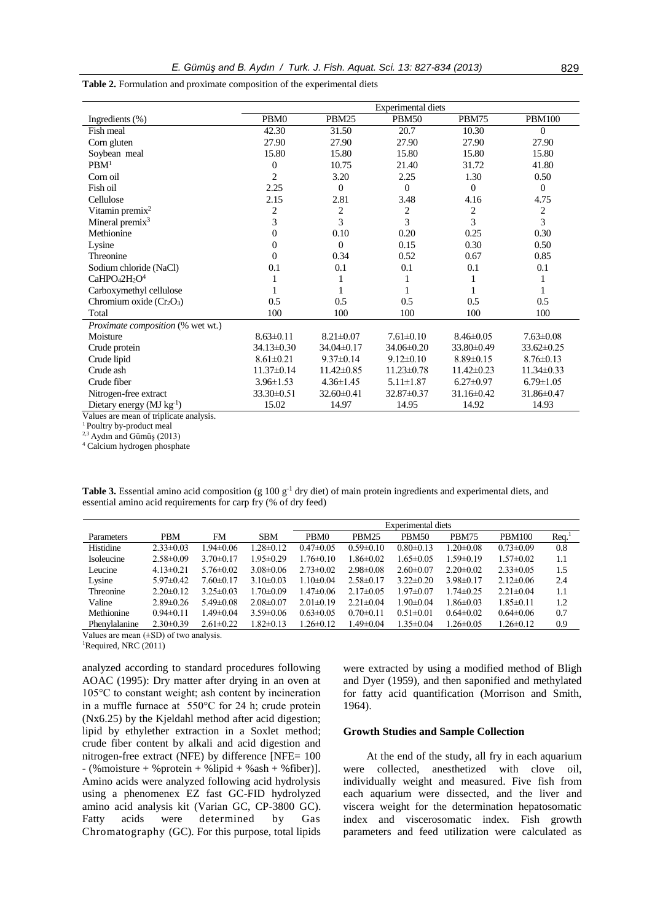|                                                | <b>Experimental diets</b> |                   |                  |                  |                  |  |  |
|------------------------------------------------|---------------------------|-------------------|------------------|------------------|------------------|--|--|
| Ingredients (%)                                | PBM0                      | PBM <sub>25</sub> | <b>PBM50</b>     | PBM75            | <b>PBM100</b>    |  |  |
| Fish meal                                      | 42.30                     | 31.50             | 20.7             | 10.30            | $\mathbf{0}$     |  |  |
| Corn gluten                                    | 27.90                     | 27.90             | 27.90            | 27.90            | 27.90            |  |  |
| Soybean meal                                   | 15.80                     | 15.80             | 15.80            | 15.80            | 15.80            |  |  |
| PBM <sup>1</sup>                               | $\theta$                  | 10.75             | 21.40            | 31.72            | 41.80            |  |  |
| Corn oil                                       | $\overline{c}$            | 3.20              | 2.25             | 1.30             | 0.50             |  |  |
| Fish oil                                       | 2.25                      | $\mathbf{0}$      | $\theta$         | $\mathbf{0}$     | $\mathbf{0}$     |  |  |
| Cellulose                                      | 2.15                      | 2.81              | 3.48             | 4.16             | 4.75             |  |  |
| Vitamin premix $2$                             | 2                         | $\overline{2}$    | 2                | 2                | 2                |  |  |
| Mineral premix $3$                             | 3                         | 3                 | 3                | 3                | 3                |  |  |
| Methionine                                     | $\boldsymbol{0}$          | 0.10              | 0.20             | 0.25             | 0.30             |  |  |
| Lysine                                         | $\Omega$                  | $\Omega$          | 0.15             | 0.30             | 0.50             |  |  |
| Threonine                                      | $\Omega$                  | 0.34              | 0.52             | 0.67             | 0.85             |  |  |
| Sodium chloride (NaCl)                         | 0.1                       | 0.1               | 0.1              | 0.1              | 0.1              |  |  |
| $CaHPO42H2O4$                                  |                           |                   |                  |                  |                  |  |  |
| Carboxymethyl cellulose                        |                           | 1                 |                  |                  |                  |  |  |
| Chromium oxide $(Cr_2O_3)$                     | 0.5                       | 0.5               | 0.5              | 0.5              | 0.5              |  |  |
| Total                                          | 100                       | 100               | 100              | 100              | 100              |  |  |
| Proximate composition (% wet wt.)              |                           |                   |                  |                  |                  |  |  |
| Moisture                                       | $8.63 \pm 0.11$           | $8.21 \pm 0.07$   | $7.61 \pm 0.10$  | $8.46 \pm 0.05$  | $7.63 \pm 0.08$  |  |  |
| Crude protein                                  | $34.13 \pm 0.30$          | 34.04±0.17        | 34.06±0.20       | 33.80±0.49       | $33.62 \pm 0.25$ |  |  |
| Crude lipid                                    | $8.61 \pm 0.21$           | $9.37 \pm 0.14$   | $9.12 \pm 0.10$  | $8.89 \pm 0.15$  | $8.76 \pm 0.13$  |  |  |
| Crude ash                                      | $11.37 \pm 0.14$          | $11.42 \pm 0.85$  | $11.23 \pm 0.78$ | $11.42 \pm 0.23$ | $11.34 \pm 0.33$ |  |  |
| Crude fiber                                    | $3.96 \pm 1.53$           | $4.36 \pm 1.45$   | $5.11 \pm 1.87$  | $6.27 \pm 0.97$  | $6.79 \pm 1.05$  |  |  |
| Nitrogen-free extract                          | 33.30±0.51                | $32.60 \pm 0.41$  | 32.87±0.37       | $31.16 \pm 0.42$ | 31.86±0.47       |  |  |
| Dietary energy $(MJ kg-1)$<br>$\sim$<br>0.7.11 | 15.02                     | 14.97             | 14.95            | 14.92            | 14.93            |  |  |

**Table 2.** Formulation and proximate composition of the experimental diets

Values are mean of triplicate analysis.

<sup>1</sup> Poultry by-product meal

 $2,3$  Aydın and Gümüş (2013)

<sup>4</sup> Calcium hydrogen phosphate

Table 3. Essential amino acid composition (g 100 g<sup>-1</sup> dry diet) of main protein ingredients and experimental diets, and essential amino acid requirements for carp fry (% of dry feed)

|               |                 |                 |                 | Experimental diets |                 |                 |                 |                 |      |
|---------------|-----------------|-----------------|-----------------|--------------------|-----------------|-----------------|-----------------|-----------------|------|
| Parameters    | <b>PBM</b>      | FM              | <b>SBM</b>      | PBM0               | PBM25           | PBM50           | <b>PBM75</b>    | <b>PBM100</b>   | Req. |
| Histidine     | $2.33 \pm 0.03$ | $.94 \pm 0.06$  | $1.28 \pm 0.12$ | $0.47 \pm 0.05$    | $0.59 \pm 0.10$ | $0.80 \pm 0.13$ | $1.20 \pm 0.08$ | $0.73 \pm 0.09$ | 0.8  |
| Isoleucine    | $2.58 \pm 0.09$ | $3.70 \pm 0.17$ | $1.95 \pm 0.29$ | $1.76 \pm 0.10$    | $1.86 \pm 0.02$ | $1.65 \pm 0.05$ | $1.59 \pm 0.19$ | $1.57 \pm 0.02$ | 1.1  |
| Leucine       | $4.13 \pm 0.21$ | $5.76 \pm 0.02$ | $3.08 \pm 0.06$ | $2.73 \pm 0.02$    | $2.98 \pm 0.08$ | $2.60 \pm 0.07$ | $2.20 \pm 0.02$ | $2.33 \pm 0.05$ | 1.5  |
| Lysine        | $5.97 \pm 0.42$ | $7.60 \pm 0.17$ | $3.10 \pm 0.03$ | $1.10 \pm 0.04$    | $2.58\pm0.17$   | $3.22 \pm 0.20$ | $3.98 \pm 0.17$ | $2.12\pm0.06$   | 2.4  |
| Threonine     | $2.20 \pm 0.12$ | $3.25 \pm 0.03$ | $1.70 \pm 0.09$ | 1.47±0.06          | $2.17 \pm 0.05$ | $1.97 \pm 0.07$ | $1.74 \pm 0.25$ | $2.21 \pm 0.04$ | 1.1  |
| Valine        | $2.89\pm0.26$   | $5.49 \pm 0.08$ | $2.08 \pm 0.07$ | $2.01 \pm 0.19$    | $2.21 \pm 0.04$ | $1.90 \pm 0.04$ | $1.86 \pm 0.03$ | $1.85 \pm 0.11$ | 1.2  |
| Methionine    | $0.94 \pm 0.11$ | $.49 \pm 0.04$  | $3.59 \pm 0.06$ | $0.63 \pm 0.05$    | $0.70 \pm 0.11$ | $0.51 \pm 0.01$ | $0.64 \pm 0.02$ | $0.64 \pm 0.06$ | 0.7  |
| Phenylalanine | $2.30\pm0.39$   | $2.61 \pm 0.22$ | $1.82 \pm 0.13$ | $1.26 \pm 0.12$    | $.49 \pm 0.04$  | $1.35 \pm 0.04$ | $1.26 \pm 0.05$ | $1.26 \pm 0.12$ | 0.9  |

Values are mean (±SD) of two analysis.

<sup>1</sup>Required, NRC (2011)

analyzed according to standard procedures following AOAC (1995): Dry matter after drying in an oven at 105°C to constant weight; ash content by incineration in a muffle furnace at 550°C for 24 h; crude protein (Nx6.25) by the Kjeldahl method after acid digestion; lipid by ethylether extraction in a Soxlet method; crude fiber content by alkali and acid digestion and nitrogen-free extract (NFE) by difference [NFE= 100  $-$  (% moisture + % protein + % lipid + % ash + % fiber)]. Amino acids were analyzed following acid hydrolysis using a phenomenex EZ fast GC-FID hydrolyzed amino acid analysis kit (Varian GC, CP-3800 GC). Fatty acids were determined by Gas Chromatography (GC). For this purpose, total lipids were extracted by using a modified method of Bligh and Dyer (1959), and then saponified and methylated for fatty acid quantification (Morrison and Smith, 1964).

#### **Growth Studies and Sample Collection**

At the end of the study, all fry in each aquarium were collected, anesthetized with clove oil, individually weight and measured. Five fish from each aquarium were dissected, and the liver and viscera weight for the determination hepatosomatic index and viscerosomatic index. Fish growth parameters and feed utilization were calculated as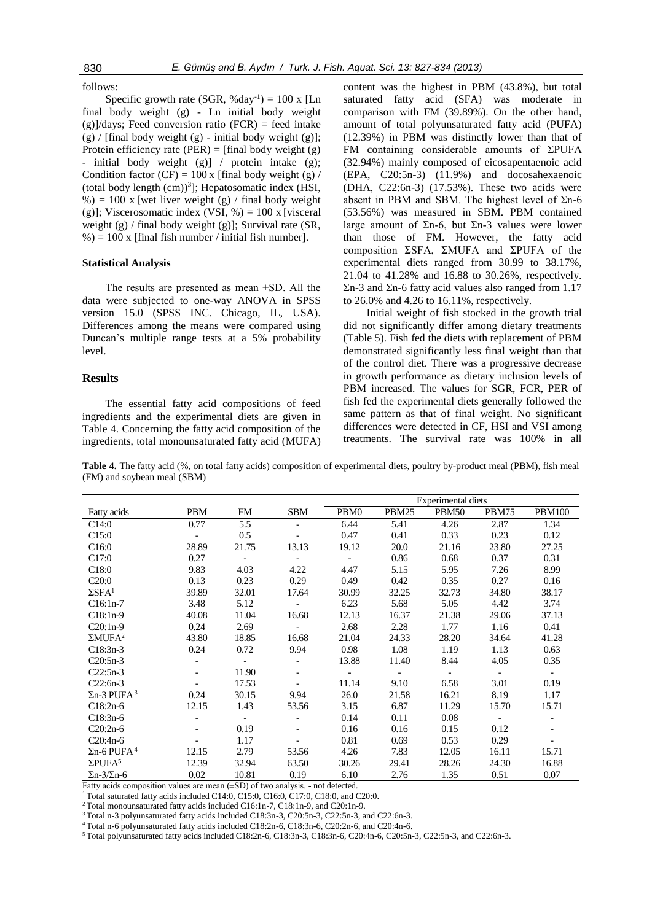#### follows:

Specific growth rate (SGR, %day<sup>-1</sup>) =  $100 \times$  [Ln final body weight (g) - Ln initial body weight  $(g)/days$ ; Feed conversion ratio (FCR) = feed intake  $(g)$  / [final body weight  $(g)$  - initial body weight  $(g)$ ]; Protein efficiency rate (PER) = [final body weight  $(g)$ - initial body weight (g)] / protein intake (g); Condition factor (CF) =  $100 \times$  [final body weight (g) / (total body length  $(cm))^3$ ]; Hepatosomatic index (HSI, %) = 100 x [wet liver weight (g) / final body weight (g)]; Viscerosomatic index (VSI,  $\%$ ) = 100 x [visceral] weight (g) / final body weight (g)]; Survival rate (SR,  $\%$ ) = 100 x [final fish number / initial fish number].

### **Statistical Analysis**

The results are presented as mean ±SD. All the data were subjected to one-way ANOVA in SPSS version 15.0 (SPSS INC. Chicago, IL, USA). Differences among the means were compared using Duncan's multiple range tests at a 5% probability level.

# **Results**

The essential fatty acid compositions of feed ingredients and the experimental diets are given in Table 4. Concerning the fatty acid composition of the ingredients, total monounsaturated fatty acid (MUFA)

content was the highest in PBM (43.8%), but total saturated fatty acid (SFA) was moderate in comparison with FM (39.89%). On the other hand, amount of total polyunsaturated fatty acid (PUFA) (12.39%) in PBM was distinctly lower than that of FM containing considerable amounts of ΣPUFA (32.94%) mainly composed of eicosapentaenoic acid (EPA, C20:5n-3) (11.9%) and docosahexaenoic (DHA, C22:6n-3) (17.53%). These two acids were absent in PBM and SBM. The highest level of  $\Sigma$ n-6 (53.56%) was measured in SBM. PBM contained large amount of Σn-6, but Σn-3 values were lower than those of FM. However, the fatty acid composition ΣSFA, ΣMUFA and ΣPUFA of the experimental diets ranged from 30.99 to 38.17%, 21.04 to 41.28% and 16.88 to 30.26%, respectively. Σn-3 and Σn-6 fatty acid values also ranged from 1.17 to 26.0% and 4.26 to 16.11%, respectively.

Initial weight of fish stocked in the growth trial did not significantly differ among dietary treatments (Table 5). Fish fed the diets with replacement of PBM demonstrated significantly less final weight than that of the control diet. There was a progressive decrease in growth performance as dietary inclusion levels of PBM increased. The values for SGR, FCR, PER of fish fed the experimental diets generally followed the same pattern as that of final weight. No significant differences were detected in CF, HSI and VSI among treatments. The survival rate was 100% in all

**Table 4.** The fatty acid (%, on total fatty acids) composition of experimental diets, poultry by-product meal (PBM), fish meal (FM) and soybean meal (SBM)

|                                |            |                          |                          | Experimental diets |                          |                          |                          |               |
|--------------------------------|------------|--------------------------|--------------------------|--------------------|--------------------------|--------------------------|--------------------------|---------------|
| Fatty acids                    | <b>PBM</b> | FM                       | SBM                      | PBM0               | PBM25                    | <b>PBM50</b>             | PBM75                    | <b>PBM100</b> |
| C14:0                          | 0.77       | 5.5                      |                          | 6.44               | 5.41                     | 4.26                     | 2.87                     | 1.34          |
| C15:0                          |            | 0.5                      |                          | 0.47               | 0.41                     | 0.33                     | 0.23                     | 0.12          |
| C16:0                          | 28.89      | 21.75                    | 13.13                    | 19.12              | 20.0                     | 21.16                    | 23.80                    | 27.25         |
| C17:0                          | 0.27       | $\overline{\phantom{a}}$ | $\overline{\phantom{a}}$ |                    | 0.86                     | 0.68                     | 0.37                     | 0.31          |
| C18:0                          | 9.83       | 4.03                     | 4.22                     | 4.47               | 5.15                     | 5.95                     | 7.26                     | 8.99          |
| C20:0                          | 0.13       | 0.23                     | 0.29                     | 0.49               | 0.42                     | 0.35                     | 0.27                     | 0.16          |
| $\Sigma$ SFA <sup>1</sup>      | 39.89      | 32.01                    | 17.64                    | 30.99              | 32.25                    | 32.73                    | 34.80                    | 38.17         |
| $C16:1n-7$                     | 3.48       | 5.12                     | $\blacksquare$           | 6.23               | 5.68                     | 5.05                     | 4.42                     | 3.74          |
| $C18:1n-9$                     | 40.08      | 11.04                    | 16.68                    | 12.13              | 16.37                    | 21.38                    | 29.06                    | 37.13         |
| $C20:1n-9$                     | 0.24       | 2.69                     | $\blacksquare$           | 2.68               | 2.28                     | 1.77                     | 1.16                     | 0.41          |
| $\Sigma MUFA2$                 | 43.80      | 18.85                    | 16.68                    | 21.04              | 24.33                    | 28.20                    | 34.64                    | 41.28         |
| $C18:3n-3$                     | 0.24       | 0.72                     | 9.94                     | 0.98               | 1.08                     | 1.19                     | 1.13                     | 0.63          |
| $C20:5n-3$                     |            | $\overline{\phantom{a}}$ | $\blacksquare$           | 13.88              | 11.40                    | 8.44                     | 4.05                     | 0.35          |
| $C22:5n-3$                     |            | 11.90                    | $\overline{\phantom{a}}$ |                    | $\overline{\phantom{a}}$ | $\overline{\phantom{a}}$ | $\overline{\phantom{a}}$ | $\sim$        |
| $C22:6n-3$                     |            | 17.53                    | $\blacksquare$           | 11.14              | 9.10                     | 6.58                     | 3.01                     | 0.19          |
| $\Sigma$ n-3 PUFA <sup>3</sup> | 0.24       | 30.15                    | 9.94                     | 26.0               | 21.58                    | 16.21                    | 8.19                     | 1.17          |
| $C18:2n-6$                     | 12.15      | 1.43                     | 53.56                    | 3.15               | 6.87                     | 11.29                    | 15.70                    | 15.71         |
| $C18:3n-6$                     |            | $\sim$                   |                          | 0.14               | 0.11                     | 0.08                     |                          |               |
| $C20:2n-6$                     |            | 0.19                     |                          | 0.16               | 0.16                     | 0.15                     | 0.12                     |               |
| $C20:4n-6$                     |            | 1.17                     |                          | 0.81               | 0.69                     | 0.53                     | 0.29                     |               |
| $\Sigma$ n-6 PUFA <sup>4</sup> | 12.15      | 2.79                     | 53.56                    | 4.26               | 7.83                     | 12.05                    | 16.11                    | 15.71         |
| $\Sigma$ PUFA <sup>5</sup>     | 12.39      | 32.94                    | 63.50                    | 30.26              | 29.41                    | 28.26                    | 24.30                    | 16.88         |
| $\Sigma$ n-3/ $\Sigma$ n-6     | 0.02       | 10.81                    | 0.19                     | 6.10               | 2.76                     | 1.35                     | 0.51                     | 0.07          |

Fatty acids composition values are mean  $(\pm SD)$  of two analysis. - not detected.

 $1$  Total saturated fatty acids included C14:0, C15:0, C16:0, C17:0, C18:0, and C20:0.

<sup>2</sup> Total monounsaturated fatty acids included C16:1n-7, C18:1n-9, and C20:1n-9.

<sup>3</sup>Total n-3 polyunsaturated fatty acids included C18:3n-3, C20:5n-3, C22:5n-3, and C22:6n-3.

<sup>4</sup>Total n-6 polyunsaturated fatty acids included C18:2n-6, C18:3n-6, C20:2n-6, and C20:4n-6.

5 Total polyunsaturated fatty acids included C18:2n-6, C18:3n-3, C18:3n-6, C20:4n-6, C20:5n-3, C22:5n-3, and C22:6n-3.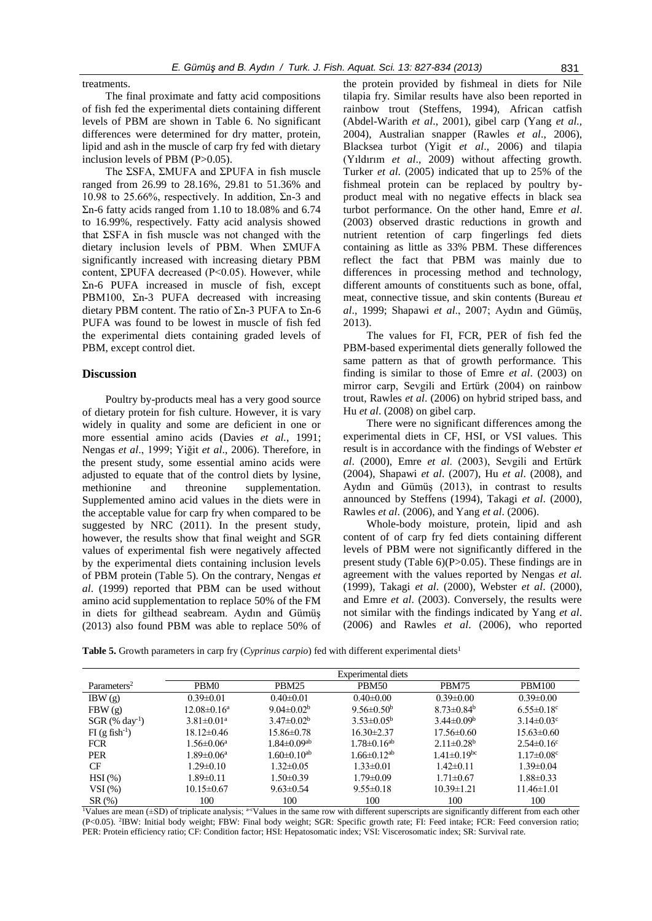treatments.

The final proximate and fatty acid compositions of fish fed the experimental diets containing different levels of PBM are shown in Table 6. No significant differences were determined for dry matter, protein, lipid and ash in the muscle of carp fry fed with dietary inclusion levels of PBM (P>0.05).

The ΣSFA, ΣMUFA and ΣPUFA in fish muscle ranged from 26.99 to 28.16%, 29.81 to 51.36% and 10.98 to 25.66%, respectively. In addition,  $\Sigma$ n-3 and Σn-6 fatty acids ranged from 1.10 to 18.08% and 6.74 to 16.99%, respectively. Fatty acid analysis showed that ΣSFA in fish muscle was not changed with the dietary inclusion levels of PBM. When ΣMUFA significantly increased with increasing dietary PBM content, ΣPUFA decreased (P<0.05). However, while Σn-6 PUFA increased in muscle of fish, except PBM100, Σn-3 PUFA decreased with increasing dietary PBM content. The ratio of Σn-3 PUFA to Σn-6 PUFA was found to be lowest in muscle of fish fed the experimental diets containing graded levels of PBM, except control diet.

#### **Discussion**

Poultry by-products meal has a very good source of dietary protein for fish culture. However, it is vary widely in quality and some are deficient in one or more essential amino acids (Davies *et al.*, 1991; Nengas *et al*., 1999; Yiğit *et al*., 2006). Therefore, in the present study, some essential amino acids were adjusted to equate that of the control diets by lysine, methionine and threonine supplementation. Supplemented amino acid values in the diets were in the acceptable value for carp fry when compared to be suggested by NRC (2011). In the present study, however, the results show that final weight and SGR values of experimental fish were negatively affected by the experimental diets containing inclusion levels of PBM protein (Table 5). On the contrary, Nengas *et al*. (1999) reported that PBM can be used without amino acid supplementation to replace 50% of the FM in diets for gilthead seabream. Aydın and Gümüş (2013) also found PBM was able to replace 50% of

the protein provided by fishmeal in diets for Nile tilapia fry. Similar results have also been reported in rainbow trout (Steffens, 1994), African catfish (Abdel-Warith *et al*., 2001), gibel carp (Yang *et al.,* 2004), Australian snapper (Rawles *et al*., 2006), Blacksea turbot (Yigit *et al*., 2006) and tilapia (Yıldırım *et al*., 2009) without affecting growth. Turker *et al*. (2005) indicated that up to 25% of the fishmeal protein can be replaced by poultry byproduct meal with no negative effects in black sea turbot performance. On the other hand, Emre *et al*. (2003) observed drastic reductions in growth and nutrient retention of carp fingerlings fed diets containing as little as 33% PBM. These differences reflect the fact that PBM was mainly due to differences in processing method and technology, different amounts of constituents such as bone, offal, meat, connective tissue, and skin contents (Bureau *et al*., 1999; Shapawi *et al*., 2007; Aydın and Gümüş, 2013).

The values for FI, FCR, PER of fish fed the PBM-based experimental diets generally followed the same pattern as that of growth performance. This finding is similar to those of Emre *et al*. (2003) on mirror carp, Sevgili and Ertürk (2004) on rainbow trout, Rawles *et al*. (2006) on hybrid striped bass, and Hu *et al*. (2008) on gibel carp.

There were no significant differences among the experimental diets in CF, HSI, or VSI values. This result is in accordance with the findings of Webster *et al*. (2000), Emre *et al*. (2003), Sevgili and Ertürk (2004), Shapawi *et al*. (2007), Hu *et al*. (2008), and Aydın and Gümüş (2013), in contrast to results announced by Steffens (1994), Takagi *et al*. (2000), Rawles *et al*. (2006), and Yang *et al*. (2006).

Whole-body moisture, protein, lipid and ash content of of carp fry fed diets containing different levels of PBM were not significantly differed in the present study (Table 6)(P>0.05). These findings are in agreement with the values reported by Nengas *et al.*  (1999), Takagi *et al*. (2000), Webster *et al*. (2000), and Emre *et al*. (2003). Conversely, the results were not similar with the findings indicated by Yang *et al*. (2006) and Rawles *et al*. (2006), who reported

**Table 5.** Growth parameters in carp fry (*Cyprinus carpio*) fed with different experimental diets<sup>1</sup>

|                              | Experimental diets |                               |                               |                               |                              |  |  |
|------------------------------|--------------------|-------------------------------|-------------------------------|-------------------------------|------------------------------|--|--|
| Parameters <sup>2</sup>      | PBM <sub>0</sub>   | PBM <sub>25</sub>             | PBM50                         | PBM75                         | <b>PBM100</b>                |  |  |
| IBW(g)                       | $0.39 \pm 0.01$    | $0.40 \pm 0.01$               | $0.40 \pm 0.00$               | $0.39 \pm 0.00$               | $0.39 \pm 0.00$              |  |  |
| FBW(g)                       | $12.08 \pm 0.16^a$ | 9.04 $\pm$ 0.02 <sup>b</sup>  | 9.56 $\pm$ 0.50 <sup>b</sup>  | $8.73 \pm 0.84^b$             | $6.55 \pm 0.18$ <sup>c</sup> |  |  |
| $SGR$ (% day <sup>-1</sup> ) | $3.81 \pm 0.01^a$  | $3.47 \pm 0.02^b$             | $3.53 \pm 0.05^{\rm b}$       | $3.44 \pm 0.09^b$             | $3.14 \pm 0.03$ <sup>c</sup> |  |  |
| $FI$ (g fish <sup>-1</sup> ) | $18.12 \pm 0.46$   | $15.86 \pm 0.78$              | $16.30 \pm 2.37$              | $17.56 \pm 0.60$              | $15.63 \pm 0.60$             |  |  |
| <b>FCR</b>                   | $1.56 \pm 0.06^a$  | $1.84 \pm 0.09$ <sup>ab</sup> | $1.78 \pm 0.16$ <sup>ab</sup> | $2.11 \pm 0.28$ <sup>b</sup>  | $2.54\pm0.16^{\circ}$        |  |  |
| <b>PER</b>                   | $1.89 \pm 0.06^a$  | $1.60 \pm 0.10^{ab}$          | $1.66 \pm 0.12$ <sup>ab</sup> | $1.41 \pm 0.19$ <sup>bc</sup> | $1.17 \pm 0.08$ c            |  |  |
| CF                           | $1.29 \pm 0.10$    | $1.32 \pm 0.05$               | $1.33 \pm 0.01$               | $1.42\pm 0.11$                | $1.39 \pm 0.04$              |  |  |
| $HSI(\%)$                    | $1.89\pm0.11$      | $1.50 \pm 0.39$               | $1.79 \pm 0.09$               | $1.71 \pm 0.67$               | $1.88 \pm 0.33$              |  |  |
| VSI(%)                       | $10.15 \pm 0.67$   | $9.63 \pm 0.54$               | $9.55 \pm 0.18$               | $10.39 \pm 1.21$              | $11.46 \pm 1.01$             |  |  |
| $SR(\%)$                     | 100                | 100                           | 100                           | 100                           | 100                          |  |  |

<sup>1</sup>Values are mean ( $\pm$ SD) of triplicate analysis; <sup>a-c</sup>Values in the same row with different superscripts are significantly different from each other (P<0.05). <sup>2</sup> IBW: Initial body weight; FBW: Final body weight; SGR: Specific growth rate; FI: Feed intake; FCR: Feed conversion ratio; PER: Protein efficiency ratio; CF: Condition factor; HSI: Hepatosomatic index; VSI: Viscerosomatic index; SR: Survival rate.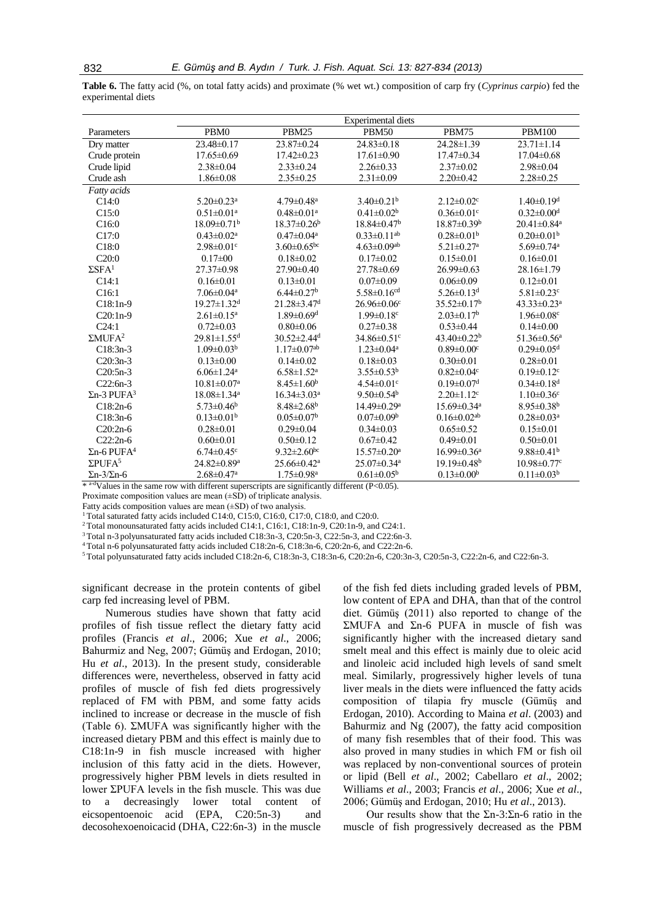**Table 6.** The fatty acid (%, on total fatty acids) and proximate (% wet wt.) composition of carp fry (*Cyprinus carpio*) fed the experimental diets

|                                                             | <b>Experimental diets</b>               |                               |                                                                                                                                                                                                                                                                                                                                                                                                                                                                                                                             |                               |                               |  |  |
|-------------------------------------------------------------|-----------------------------------------|-------------------------------|-----------------------------------------------------------------------------------------------------------------------------------------------------------------------------------------------------------------------------------------------------------------------------------------------------------------------------------------------------------------------------------------------------------------------------------------------------------------------------------------------------------------------------|-------------------------------|-------------------------------|--|--|
| Parameters                                                  | PBM0                                    | PBM25                         | <b>PBM50</b>                                                                                                                                                                                                                                                                                                                                                                                                                                                                                                                | PBM75                         | <b>PBM100</b>                 |  |  |
| Dry matter                                                  | $23.48\pm0.17$                          | 23.87±0.24                    | $24.83\pm 0.18$                                                                                                                                                                                                                                                                                                                                                                                                                                                                                                             | 24.28±1.39                    | $23.71 \pm 1.14$              |  |  |
| Crude protein                                               | $17.65 \pm 0.69$                        | $17.42\pm0.23$                | $17.61 \pm 0.90$                                                                                                                                                                                                                                                                                                                                                                                                                                                                                                            | $17.47\pm0.34$                | $17.04 \pm 0.68$              |  |  |
| Crude lipid                                                 | $2.38\pm0.04$                           | $2.33 \pm 0.24$               | $2.26\pm0.33$                                                                                                                                                                                                                                                                                                                                                                                                                                                                                                               | $2.37\pm0.02$                 | $2.98 \pm 0.04$               |  |  |
| Crude ash                                                   | $1.86 \pm 0.08$                         | $2.35 \pm 0.25$               | $2.31 \pm 0.09$                                                                                                                                                                                                                                                                                                                                                                                                                                                                                                             | $2.20 \pm 0.42$               | $2.28 \pm 0.25$               |  |  |
| Fatty acids                                                 |                                         |                               |                                                                                                                                                                                                                                                                                                                                                                                                                                                                                                                             |                               |                               |  |  |
| C14:0                                                       | $5.20 \pm 0.23$ <sup>a</sup>            | $4.79 \pm 0.48$ <sup>a</sup>  | $3.40\pm0.21^b$                                                                                                                                                                                                                                                                                                                                                                                                                                                                                                             | $2.12 \pm 0.02$ <sup>c</sup>  | $1.40 \pm 0.19$ <sup>d</sup>  |  |  |
| C15:0                                                       | $0.51 \pm 0.01$ <sup>a</sup>            | $0.48 \pm 0.01$ <sup>a</sup>  | $0.41 \pm 0.02^b$                                                                                                                                                                                                                                                                                                                                                                                                                                                                                                           | $0.36 \pm 0.01$ c             | $0.32 \pm 0.00$ <sup>d</sup>  |  |  |
| C16:0                                                       | $18.09 \pm 0.71$ <sup>b</sup>           | $18.37 \pm 0.26^b$            | $18.84 \pm 0.47$ <sup>b</sup>                                                                                                                                                                                                                                                                                                                                                                                                                                                                                               | $18.87 \pm 0.39^{\rm b}$      | $20.41 \pm 0.84$ <sup>a</sup> |  |  |
| C17:0                                                       | $0.43 \pm 0.02^a$                       | $0.47 \pm 0.04$ <sup>a</sup>  | $0.33 \pm 0.11$ <sup>ab</sup>                                                                                                                                                                                                                                                                                                                                                                                                                                                                                               | $0.28 \pm 0.01^b$             | $0.20 \pm 0.01^b$             |  |  |
| C18:0                                                       | $2.98 \pm 0.01$ <sup>c</sup>            | $3.60 \pm 0.65$ <sup>bc</sup> | $4.63 \pm 0.09$ <sup>ab</sup>                                                                                                                                                                                                                                                                                                                                                                                                                                                                                               | $5.21 \pm 0.27$ <sup>a</sup>  | $5.69 \pm 0.74$ <sup>a</sup>  |  |  |
| C20:0                                                       | $0.17 \pm 00$                           | $0.18 \pm 0.02$               | $0.17 \pm 0.02$                                                                                                                                                                                                                                                                                                                                                                                                                                                                                                             | $0.15 \pm 0.01$               | $0.16 \pm 0.01$               |  |  |
| $\Sigma$ SFA <sup>1</sup>                                   | 27.37±0.98                              | $27.90 \pm 0.40$              | 27.78±0.69                                                                                                                                                                                                                                                                                                                                                                                                                                                                                                                  | $26.99 \pm 0.63$              | 28.16±1.79                    |  |  |
| C14:1                                                       | $0.16 \pm 0.01$                         | $0.13 \pm 0.01$               | $0.07 \pm 0.09$                                                                                                                                                                                                                                                                                                                                                                                                                                                                                                             | $0.06 \pm 0.09$               | $0.12 \pm 0.01$               |  |  |
| C16:1                                                       | $7.06 \pm 0.04$ <sup>a</sup>            | $6.44 \pm 0.27$ <sup>b</sup>  | $5.58 \pm 0.16$ cd                                                                                                                                                                                                                                                                                                                                                                                                                                                                                                          | $5.26 \pm 0.13$ <sup>d</sup>  | $5.81 \pm 0.23$ <sup>c</sup>  |  |  |
| $C18:1n-9$                                                  | $19.27 \pm 1.32$ <sup>d</sup>           | $21.28 \pm 3.47$ <sup>d</sup> | $26.96 \pm 0.06$ c                                                                                                                                                                                                                                                                                                                                                                                                                                                                                                          | $35.52 \pm 0.17^{\rm b}$      | $43.33 \pm 0.23$ <sup>a</sup> |  |  |
| $C20:1n-9$                                                  | $2.61 \pm 0.15^a$                       | $1.89 \pm 0.69$ <sup>d</sup>  | $1.99 \pm 0.18$ <sup>c</sup>                                                                                                                                                                                                                                                                                                                                                                                                                                                                                                | $2.03 \pm 0.17^b$             | $1.96 \pm 0.08$ c             |  |  |
| C24:1                                                       | $0.72 \pm 0.03$                         | $0.80 \pm 0.06$               | $0.27 \pm 0.38$                                                                                                                                                                                                                                                                                                                                                                                                                                                                                                             | $0.53 \pm 0.44$               | $0.14 \pm 0.00$               |  |  |
| $\Sigma MUFA2$                                              | $29.81 \pm 1.55$ <sup>d</sup>           | $30.52 \pm 2.44$ <sup>d</sup> | $34.86 \pm 0.51$ <sup>c</sup>                                                                                                                                                                                                                                                                                                                                                                                                                                                                                               | 43.40±0.22 <sup>b</sup>       | $51.36 \pm 0.56^a$            |  |  |
| $C18:3n-3$                                                  | $1.09 \pm 0.03^b$                       | $1.17 \pm 0.07$ <sup>ab</sup> | $1.23 \pm 0.04^a$                                                                                                                                                                                                                                                                                                                                                                                                                                                                                                           | $0.89 \pm 0.00$ <sup>c</sup>  | $0.29 \pm 0.05$ <sup>d</sup>  |  |  |
| $C20:3n-3$                                                  | $0.13 \pm 0.00$                         | $0.14\pm0.02$                 | $0.18 \pm 0.03$                                                                                                                                                                                                                                                                                                                                                                                                                                                                                                             | $0.30 \pm 0.01$               | $0.28 \pm 0.01$               |  |  |
| $C20:5n-3$                                                  | $6.06 \pm 1.24$ <sup>a</sup>            | $6.58 \pm 1.52$ <sup>a</sup>  | $3.55 \pm 0.53^b$                                                                                                                                                                                                                                                                                                                                                                                                                                                                                                           | $0.82 \pm 0.04$ c             | $0.19 \pm 0.12$ <sup>c</sup>  |  |  |
| $C22:6n-3$                                                  | $10.81 \pm 0.07$ <sup>a</sup>           | $8.45 \pm 1.60^b$             | $4.54 \pm 0.01$ <sup>c</sup>                                                                                                                                                                                                                                                                                                                                                                                                                                                                                                | $0.19 \pm 0.07$ <sup>d</sup>  | $0.34 \pm 0.18$ <sup>d</sup>  |  |  |
| $\Sigma$ n-3 PUFA <sup>3</sup>                              | $18.08 \pm 1.34$ <sup>a</sup>           | $16.34 \pm 3.03^a$            | $9.50 \pm 0.54^{\circ}$                                                                                                                                                                                                                                                                                                                                                                                                                                                                                                     | $2.20 \pm 1.12$ <sup>c</sup>  | $1.10 \pm 0.36$ <sup>c</sup>  |  |  |
| $C18:2n-6$                                                  | $5.73 \pm 0.46$ <sup>b</sup>            | $8.48 \pm 2.68$ <sup>b</sup>  | 14.49±0.29 <sup>a</sup>                                                                                                                                                                                                                                                                                                                                                                                                                                                                                                     | 15.69±0.34 <sup>a</sup>       | $8.95 \pm 0.38$ <sup>b</sup>  |  |  |
| $C18:3n-6$                                                  | $0.13 \pm 0.01^b$                       | $0.05 \pm 0.07$ <sup>b</sup>  | $0.07 \pm 0.09^{\rm b}$                                                                                                                                                                                                                                                                                                                                                                                                                                                                                                     | $0.16 \pm 0.02$ <sup>ab</sup> | $0.28 \pm 0.03$ <sup>a</sup>  |  |  |
| $C20:2n-6$                                                  | $0.28 \pm 0.01$                         | $0.29 \pm 0.04$               | $0.34\pm0.03$                                                                                                                                                                                                                                                                                                                                                                                                                                                                                                               | $0.65 \pm 0.52$               | $0.15 \pm 0.01$               |  |  |
| $C22:2n-6$                                                  | $0.60 \pm 0.01$                         | $0.50 \pm 0.12$               | $0.67 \pm 0.42$                                                                                                                                                                                                                                                                                                                                                                                                                                                                                                             | $0.49 \pm 0.01$               | $0.50 \pm 0.01$               |  |  |
| $\Sigma$ n-6 PUFA <sup>4</sup>                              | $6.74 \pm 0.45$ <sup>c</sup>            | $9.32 \pm 2.60$ <sup>bc</sup> | $15.57 \pm 0.20^{\mathrm{a}}$                                                                                                                                                                                                                                                                                                                                                                                                                                                                                               | $16.99 \pm 0.36^a$            | $9.88 \pm 0.41$ <sup>b</sup>  |  |  |
| $\Sigma$ PUFA <sup>5</sup>                                  | 24.82±0.89 <sup>a</sup>                 | $25.66 \pm 0.42^a$            | 25.07±0.34 <sup>a</sup>                                                                                                                                                                                                                                                                                                                                                                                                                                                                                                     | $19.19 \pm 0.48$ <sup>b</sup> | $10.98 \pm 0.77$ <sup>c</sup> |  |  |
| $\Sigma$ n-3/ $\Sigma$ n-6<br>$\pm$ a-dx $t = 1, , t = 1, $ | $2.68 \pm 0.47$ <sup>a</sup><br>141.120 | $1.75 \pm 0.98$ <sup>a</sup>  | $0.61 \pm 0.05^{\rm b}$<br>$\therefore$ $\therefore$ $\therefore$ $\therefore$ $\therefore$ $\therefore$ $\therefore$ $\therefore$ $\therefore$ $\therefore$ $\therefore$ $\therefore$ $\therefore$ $\therefore$ $\therefore$ $\therefore$ $\therefore$ $\therefore$ $\therefore$ $\therefore$ $\therefore$ $\therefore$ $\therefore$ $\therefore$ $\therefore$ $\therefore$ $\therefore$ $\therefore$ $\therefore$ $\therefore$ $\therefore$ $\therefore$ $\therefore$ $\therefore$ $\therefore$ $\therefore$ $\therefore$ | $0.13 \pm 0.00^b$             | $0.11 \pm 0.03^b$             |  |  |

Values in the same row with different superscripts are significantly different (P<0.05).

Proximate composition values are mean  $(\pm SD)$  of triplicate analysis.

Fatty acids composition values are mean  $(\pm SD)$  of two analysis.

 $1$  Total saturated fatty acids included C14:0, C15:0, C16:0, C17:0, C18:0, and C20:0.

<sup>2</sup> Total monounsaturated fatty acids included C14:1, C16:1, C18:1n-9, C20:1n-9, and C24:1.

<sup>3</sup>Total n-3 polyunsaturated fatty acids included C18:3n-3, C20:5n-3, C22:5n-3, and C22:6n-3.

<sup>4</sup>Total n-6 polyunsaturated fatty acids included C18:2n-6, C18:3n-6, C20:2n-6, and C22:2n-6.

5 Total polyunsaturated fatty acids included C18:2n-6, C18:3n-3, C18:3n-6, C20:2n-6, C20:3n-3, C20:5n-3, C22:2n-6, and C22:6n-3.

significant decrease in the protein contents of gibel carp fed increasing level of PBM.

Numerous studies have shown that fatty acid profiles of fish tissue reflect the dietary fatty acid profiles (Francis *et al*., 2006; Xue *et al*., 2006; Bahurmiz and Neg, 2007; Gümüş and Erdogan, 2010; Hu *et al*., 2013). In the present study, considerable differences were, nevertheless, observed in fatty acid profiles of muscle of fish fed diets progressively replaced of FM with PBM, and some fatty acids inclined to increase or decrease in the muscle of fish (Table 6). ΣMUFA was significantly higher with the increased dietary PBM and this effect is mainly due to C18:1n-9 in fish muscle increased with higher inclusion of this fatty acid in the diets. However, progressively higher PBM levels in diets resulted in lower ΣPUFA levels in the fish muscle. This was due to a decreasingly lower total content of eicsopentoenoic acid (EPA, C20:5n-3) and decosohexoenoicacid (DHA, C22:6n-3) in the muscle

of the fish fed diets including graded levels of PBM, low content of EPA and DHA, than that of the control diet. Gümüş (2011) also reported to change of the ΣMUFA and Σn-6 PUFA in muscle of fish was significantly higher with the increased dietary sand smelt meal and this effect is mainly due to oleic acid and linoleic acid included high levels of sand smelt meal. Similarly, progressively higher levels of tuna liver meals in the diets were influenced the fatty acids composition of tilapia fry muscle (Gümüş and Erdogan, 2010). According to Maina *et al*. (2003) and Bahurmiz and Ng (2007), the fatty acid composition of many fish resembles that of their food. This was also proved in many studies in which FM or fish oil was replaced by non-conventional sources of protein or lipid (Bell *et al*., 2002; Cabellaro *et al*., 2002; Williams *et al*., 2003; Francis *et al*., 2006; Xue *et al*., 2006; Gümüş and Erdogan, 2010; Hu *et al*., 2013).

Our results show that the  $\Sigma$ n-3: $\Sigma$ n-6 ratio in the muscle of fish progressively decreased as the PBM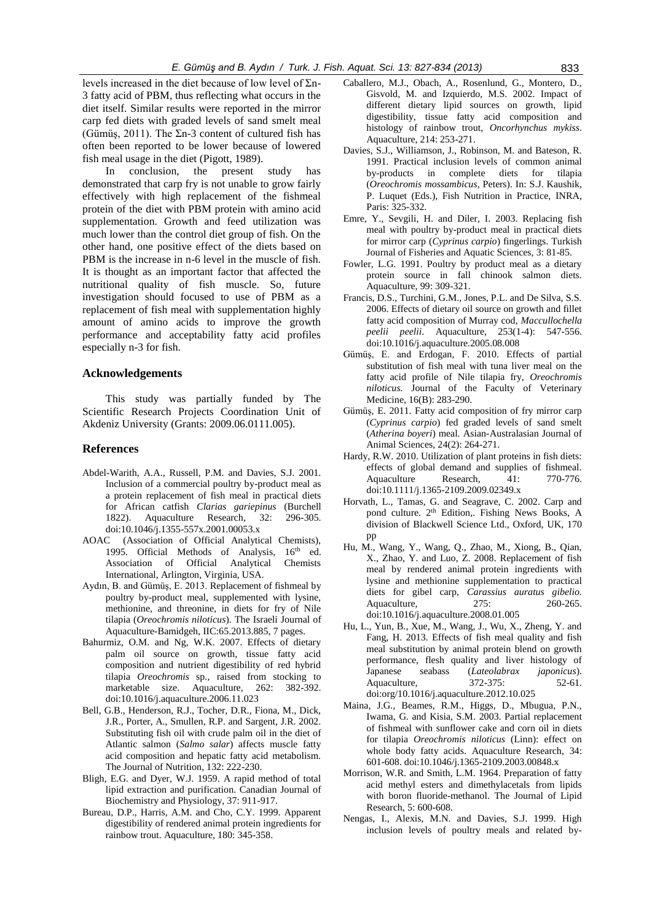levels increased in the diet because of low level of  $\Sigma$ n-3 fatty acid of PBM, thus reflecting what occurs in the diet itself. Similar results were reported in the mirror carp fed diets with graded levels of sand smelt meal (Gümüş, 2011). The  $\Sigma$ n-3 content of cultured fish has often been reported to be lower because of lowered fish meal usage in the diet (Pigott, 1989).

In conclusion, the present study demonstrated that carp fry is not unable to grow fairly effectively with high replacement of the fishmeal protein of the diet with PBM protein with amino acid supplementation. Growth and feed utilization was much lower than the control diet group of fish. On the other hand, one positive effect of the diets based on PBM is the increase in n-6 level in the muscle of fish. It is thought as an important factor that affected the nutritional quality of fish muscle. So, future investigation should focused to use of PBM as a replacement of fish meal with supplementation highly amount of amino acids to improve the growth performance and acceptability fatty acid profiles especially n-3 for fish.

#### **Acknowledgements**

This study was partially funded by The Scientific Research Projects Coordination Unit of Akdeniz University (Grants: 2009.06.0111.005).

# **References**

- Abdel-Warith, A.A., Russell, P.M. and Davies, S.J. 2001. Inclusion of a commercial poultry by-product meal as a protein replacement of fish meal in practical diets for African catfish *Clarias gariepinus* (Burchell 1822). Aquaculture Research, 32: 296-305. doi:10.1046/j.1355-557x.2001.00053.x
- AOAC (Association of Official Analytical Chemists), 1995. Official Methods of Analysis, 16<sup>th</sup> ed. Association of Official Analytical Chemists International, Arlington, Virginia, USA.
- Aydın, B. and Gümüş, E. 2013. Replacement of fishmeal by poultry by-product meal, supplemented with lysine, methionine, and threonine, in diets for fry of Nile tilapia (*Oreochromis niloticus*). The Israeli Journal of Aquaculture-Bamidgeh, IIC:65.2013.885, 7 pages.
- Bahurmiz, O.M. and Ng, W.K. 2007. Effects of dietary palm oil source on growth, tissue fatty acid composition and nutrient digestibility of red hybrid tilapia *Oreochromis* sp*.*, raised from stocking to marketable size. Aquaculture, 262: 382-392. doi:10.1016/j.aquaculture.2006.11.023
- Bell, G.B., Henderson, R.J., Tocher, D.R., Fiona, M., Dick, J.R., Porter, A., Smullen, R.P. and Sargent, J.R. 2002. Substituting fish oil with crude palm oil in the diet of Atlantic salmon (*Salmo salar*) affects muscle fatty acid composition and hepatic fatty acid metabolism. The Journal of Nutrition, 132: 222-230.
- Bligh, E.G. and Dyer, W.J. 1959. A rapid method of total lipid extraction and purification. Canadian Journal of Biochemistry and Physiology, 37: 911-917.
- Bureau, D.P., Harris, A.M. and Cho, C.Y. 1999. Apparent digestibility of rendered animal protein ingredients for rainbow trout. Aquaculture, 180: 345-358.
- Caballero, M.J., Obach, A., Rosenlund, G., Montero, D., Gisvold, M. and Izquierdo, M.S. 2002. Impact of different dietary lipid sources on growth, lipid digestibility, tissue fatty acid composition and histology of rainbow trout, *Oncorhynchus mykiss*. Aquaculture, 214: 253-271.
- Davies, S.J., Williamson, J., Robinson, M. and Bateson, R. 1991. Practical inclusion levels of common animal by-products in complete diets for tilapia (*Oreochromis mossambicus*, Peters). In: S.J. Kaushik, P. Luquet (Eds.), Fish Nutrition in Practice, INRA, Paris: 325-332.
- Emre, Y., Sevgili, H. and Diler, I. 2003. Replacing fish meal with poultry by-product meal in practical diets for mirror carp (*Cyprinus carpio*) fingerlings. Turkish Journal of Fisheries and Aquatic Sciences, 3: 81-85.
- Fowler, L.G. 1991. Poultry by product meal as a dietary protein source in fall chinook salmon diets. Aquaculture, 99: 309-321.
- Francis, D.S., Turchini, G.M., Jones, P.L. and De Silva, S.S. 2006. Effects of dietary oil source on growth and fillet fatty acid composition of Murray cod, *Maccullochella peelii peelii*. Aquaculture, 253(1-4): 547-556. doi:10.1016/j.aquaculture.2005.08.008
- Gümüş, E. and Erdogan, F. 2010. Effects of partial substitution of fish meal with tuna liver meal on the fatty acid profile of Nile tilapia fry, *Oreochromis niloticus.* Journal of the Faculty of Veterinary Medicine, 16(B): 283-290.
- Gümüş, E. 2011. Fatty acid composition of fry mirror carp (*Cyprinus carpio*) fed graded levels of sand smelt (*Atherina boyeri*) meal. Asian-Australasian Journal of Animal Sciences, 24(2): 264-271.
- Hardy, R.W. 2010. Utilization of plant proteins in fish diets: effects of global demand and supplies of fishmeal. Aquaculture Research, 41: 770-776. doi:10.1111/j.1365-2109.2009.02349.x
- Horvath, L., Tamas, G. and Seagrave, C. 2002. Carp and pond culture. 2<sup>th</sup> Edition.. Fishing News Books, A division of Blackwell Science Ltd., Oxford, UK, 170 pp
- Hu, M., Wang, Y., Wang, Q., Zhao, M., Xiong, B., Qian, X., Zhao, Y. and Luo, Z. 2008. Replacement of fish meal by rendered animal protein ingredients with lysine and methionine supplementation to practical diets for gibel carp, *Carassius auratus gibelio.* Aquaculture, 275: 260-265. doi:10.1016/j.aquaculture.2008.01.005
- Hu, L., Yun, B., Xue, M., Wang, J., Wu, X., Zheng, Y. and Fang, H. 2013. Effects of fish meal quality and fish meal substitution by animal protein blend on growth performance, flesh quality and liver histology of Japanese seabass (*Lateolabrax japonicus*). Aquaculture, 372-375: 52-61. doi:org/10.1016/j.aquaculture.2012.10.025
- Maina, J.G., Beames, R.M., Higgs, D., Mbugua, P.N., Iwama, G. and Kisia, S.M. 2003. Partial replacement of fishmeal with sunflower cake and corn oil in diets for tilapia *Oreochromis niloticus* (Linn): effect on whole body fatty acids. Aquaculture Research, 34: 601-608. doi:10.1046/j.1365-2109.2003.00848.x
- Morrison, W.R. and Smith, L.M. 1964. Preparation of fatty acid methyl esters and dimethylacetals from lipids with boron fluoride-methanol. The Journal of Lipid Research, 5: 600-608.
- Nengas, I., Alexis, M.N. and Davies, S.J. 1999. High inclusion levels of poultry meals and related by-